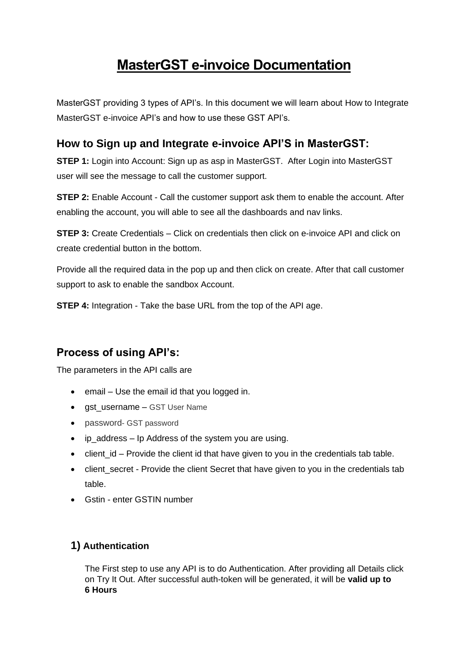# **MasterGST e-invoice Documentation**

MasterGST providing 3 types of API's. In this document we will learn about How to Integrate MasterGST e-invoice API's and how to use these GST API's.

# **How to Sign up and Integrate e-invoice API'S in MasterGST:**

**STEP 1:** Login into Account: Sign up as asp in MasterGST. After Login into MasterGST user will see the message to call the customer support.

**STEP 2:** Enable Account - Call the customer support ask them to enable the account. After enabling the account, you will able to see all the dashboards and nav links.

**STEP 3:** Create Credentials – Click on credentials then click on e-invoice API and click on create credential button in the bottom.

Provide all the required data in the pop up and then click on create. After that call customer support to ask to enable the sandbox Account.

**STEP 4:** Integration - Take the base URL from the top of the API age.

# **Process of using API's:**

The parameters in the API calls are

- email Use the email id that you logged in.
- gst\_username GST User Name
- password- GST password
- ip\_address Ip Address of the system you are using.
- $\bullet$  client id Provide the client id that have given to you in the credentials tab table.
- client secret Provide the client Secret that have given to you in the credentials tab table.
- Gstin enter GSTIN number

# **1) Authentication**

The First step to use any API is to do Authentication. After providing all Details click on Try It Out. After successful auth-token will be generated, it will be **valid up to 6 Hours**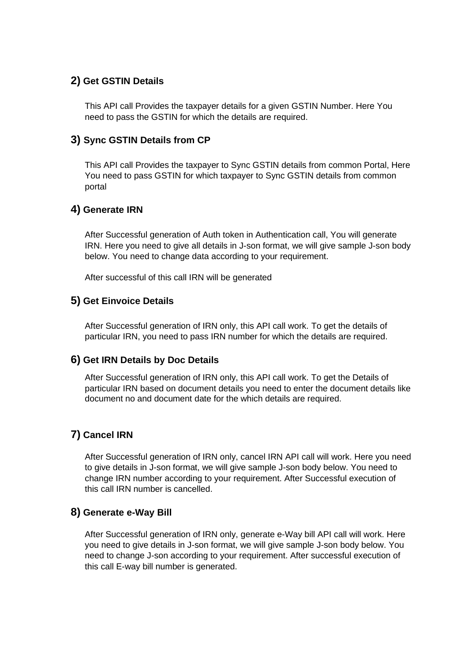# **2) Get GSTIN Details**

This API call Provides the taxpayer details for a given GSTIN Number. Here You need to pass the GSTIN for which the details are required.

### **3) Sync GSTIN Details from CP**

This API call Provides the taxpayer to Sync GSTIN details from common Portal, Here You need to pass GSTIN for which taxpayer to Sync GSTIN details from common portal

# **4) Generate IRN**

After Successful generation of Auth token in Authentication call, You will generate IRN. Here you need to give all details in J-son format, we will give sample J-son body below. You need to change data according to your requirement.

After successful of this call IRN will be generated

#### **5) Get Einvoice Details**

After Successful generation of IRN only, this API call work. To get the details of particular IRN, you need to pass IRN number for which the details are required.

#### **6) Get IRN Details by Doc Details**

After Successful generation of IRN only, this API call work. To get the Details of particular IRN based on document details you need to enter the document details like document no and document date for the which details are required.

#### **7) Cancel IRN**

After Successful generation of IRN only, cancel IRN API call will work. Here you need to give details in J-son format, we will give sample J-son body below. You need to change IRN number according to your requirement. After Successful execution of this call IRN number is cancelled.

#### **8) Generate e-Way Bill**

After Successful generation of IRN only, generate e-Way bill API call will work. Here you need to give details in J-son format, we will give sample J-son body below. You need to change J-son according to your requirement. After successful execution of this call E-way bill number is generated.